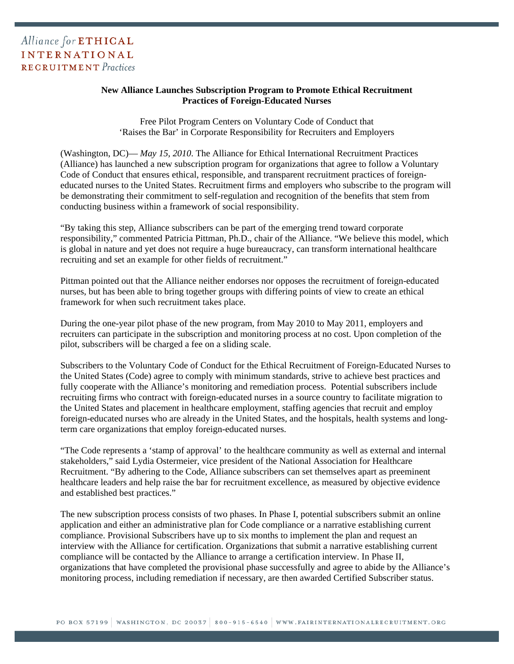## **New Alliance Launches Subscription Program to Promote Ethical Recruitment Practices of Foreign-Educated Nurses**

Free Pilot Program Centers on Voluntary Code of Conduct that 'Raises the Bar' in Corporate Responsibility for Recruiters and Employers

(Washington, DC)— *May 15, 2010*. The Alliance for Ethical International Recruitment Practices (Alliance) has launched a new subscription program for organizations that agree to follow a Voluntary Code of Conduct that ensures ethical, responsible, and transparent recruitment practices of foreigneducated nurses to the United States. Recruitment firms and employers who subscribe to the program will be demonstrating their commitment to self-regulation and recognition of the benefits that stem from conducting business within a framework of social responsibility.

"By taking this step, Alliance subscribers can be part of the emerging trend toward corporate responsibility," commented Patricia Pittman, Ph.D., chair of the Alliance. "We believe this model, which is global in nature and yet does not require a huge bureaucracy, can transform international healthcare recruiting and set an example for other fields of recruitment."

Pittman pointed out that the Alliance neither endorses nor opposes the recruitment of foreign-educated nurses, but has been able to bring together groups with differing points of view to create an ethical framework for when such recruitment takes place.

During the one-year pilot phase of the new program, from May 2010 to May 2011, employers and recruiters can participate in the subscription and monitoring process at no cost. Upon completion of the pilot, subscribers will be charged a fee on a sliding scale.

Subscribers to the Voluntary Code of Conduct for the Ethical Recruitment of Foreign-Educated Nurses to the United States (Code) agree to comply with minimum standards, strive to achieve best practices and fully cooperate with the Alliance's monitoring and remediation process. Potential subscribers include recruiting firms who contract with foreign-educated nurses in a source country to facilitate migration to the United States and placement in healthcare employment, staffing agencies that recruit and employ foreign-educated nurses who are already in the United States, and the hospitals, health systems and longterm care organizations that employ foreign-educated nurses.

"The Code represents a 'stamp of approval' to the healthcare community as well as external and internal stakeholders," said Lydia Ostermeier, vice president of the National Association for Healthcare Recruitment. "By adhering to the Code, Alliance subscribers can set themselves apart as preeminent healthcare leaders and help raise the bar for recruitment excellence, as measured by objective evidence and established best practices."

The new subscription process consists of two phases. In Phase I, potential subscribers submit an online application and either an administrative plan for Code compliance or a narrative establishing current compliance. Provisional Subscribers have up to six months to implement the plan and request an interview with the Alliance for certification. Organizations that submit a narrative establishing current compliance will be contacted by the Alliance to arrange a certification interview. In Phase II, organizations that have completed the provisional phase successfully and agree to abide by the Alliance's monitoring process, including remediation if necessary, are then awarded Certified Subscriber status.